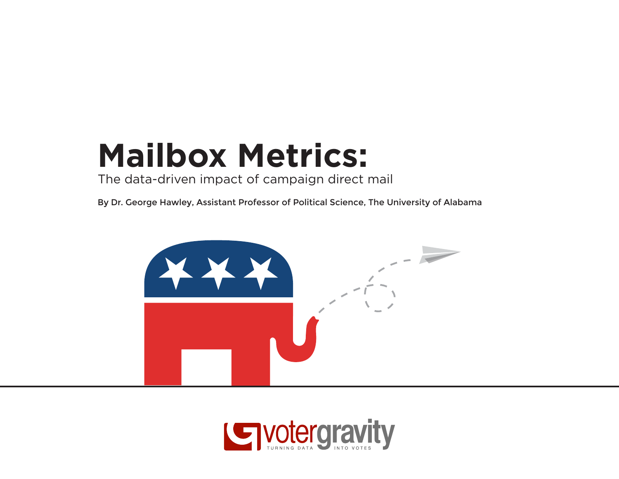## **Mailbox Metrics:**

The data-driven impact of campaign direct mail

By Dr. George Hawley, Assistant Professor of Political Science, The University of Alabama



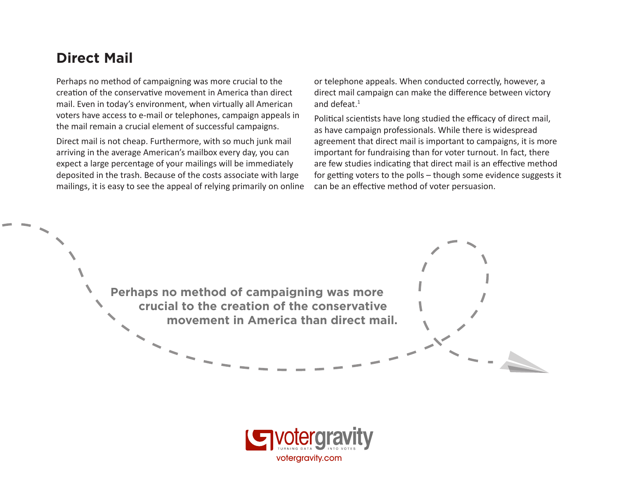#### **Direct Mail**

Perhaps no method of campaigning was more crucial to the creation of the conservative movement in America than direct mail. Even in today's environment, when virtually all American voters have access to e-mail or telephones, campaign appeals in the mail remain a crucial element of successful campaigns.

Direct mail is not cheap. Furthermore, with so much junk mail arriving in the average American's mailbox every day, you can expect a large percentage of your mailings will be immediately deposited in the trash. Because of the costs associate with large mailings, it is easy to see the appeal of relying primarily on online or telephone appeals. When conducted correctly, however, a direct mail campaign can make the difference between victory and defeat.1

Political scientists have long studied the efficacy of direct mail, as have campaign professionals. While there is widespread agreement that direct mail is important to campaigns, it is more important for fundraising than for voter turnout. In fact, there are few studies indicating that direct mail is an effective method for getting voters to the polls – though some evidence suggests it can be an effective method of voter persuasion.

**Perhaps no method of campaigning was more crucial to the creation of the conservative movement in America than direct mail.**

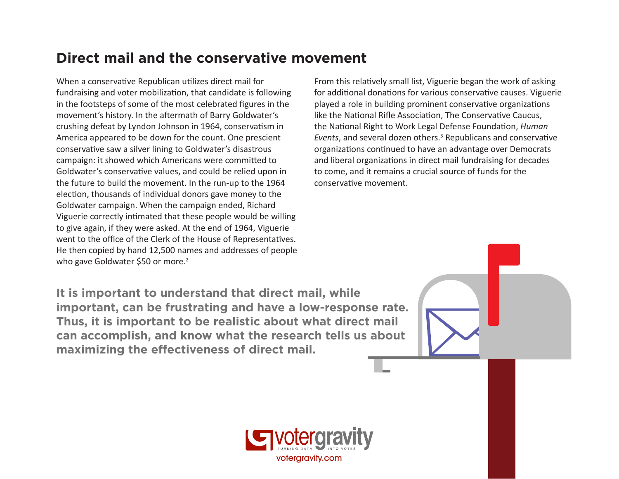#### **Direct mail and the conservative movement**

When a conservative Republican utilizes direct mail for fundraising and voter mobilization, that candidate is following in the footsteps of some of the most celebrated figures in the movement's history. In the aftermath of Barry Goldwater's crushing defeat by Lyndon Johnson in 1964, conservatism in America appeared to be down for the count. One prescient conservative saw a silver lining to Goldwater's disastrous campaign: it showed which Americans were committed to Goldwater's conservative values, and could be relied upon in the future to build the movement. In the run-up to the 1964 election, thousands of individual donors gave money to the Goldwater campaign. When the campaign ended, Richard Viguerie correctly intimated that these people would be willing to give again, if they were asked. At the end of 1964, Viguerie went to the office of the Clerk of the House of Representatives. He then copied by hand 12,500 names and addresses of people who gave Goldwater \$50 or more.<sup>2</sup>

From this relatively small list, Viguerie began the work of asking for additional donations for various conservative causes. Viguerie played a role in building prominent conservative organizations like the National Rifle Association, The Conservative Caucus, the National Right to Work Legal Defense Foundation, *Human*  Events, and several dozen others.<sup>3</sup> Republicans and conservative organizations continued to have an advantage over Democrats and liberal organizations in direct mail fundraising for decades to come, and it remains a crucial source of funds for the conservative movement.

**It is important to understand that direct mail, while important, can be frustrating and have a low-response rate. Thus, it is important to be realistic about what direct mail can accomplish, and know what the research tells us about maximizing the effectiveness of direct mail.**

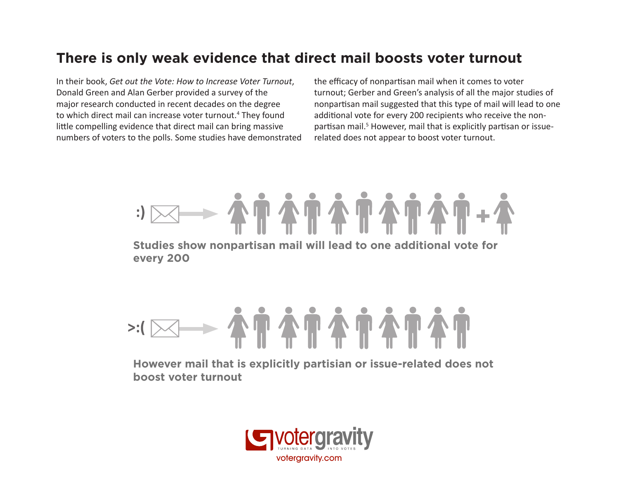#### **There is only weak evidence that direct mail boosts voter turnout**

In their book, *Get out the Vote: How to Increase Voter Turnout*, Donald Green and Alan Gerber provided a survey of the major research conducted in recent decades on the degree to which direct mail can increase voter turnout.<sup>4</sup> They found little compelling evidence that direct mail can bring massive numbers of voters to the polls. Some studies have demonstrated the efficacy of nonpartisan mail when it comes to voter turnout; Gerber and Green's analysis of all the major studies of nonpartisan mail suggested that this type of mail will lead to one additional vote for every 200 recipients who receive the nonpartisan mail.<sup>5</sup> However, mail that is explicitly partisan or issuerelated does not appear to boost voter turnout.



# 

**However mail that is explicitly partisian or issue-related does not boost voter turnout**

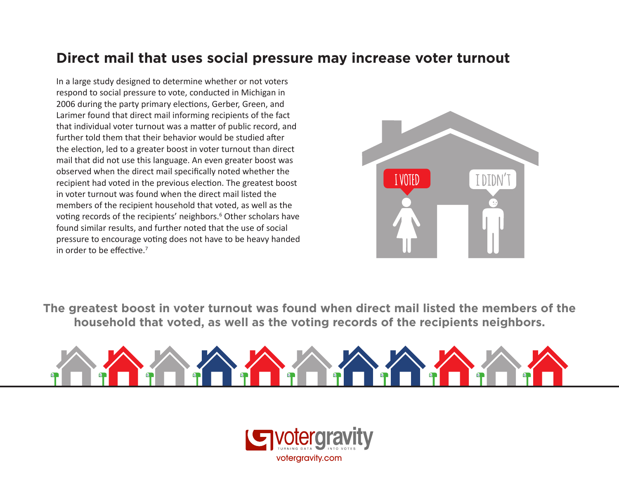#### **Direct mail that uses social pressure may increase voter turnout**

In a large study designed to determine whether or not voters respond to social pressure to vote, conducted in Michigan in 2006 during the party primary elections, Gerber, Green, and Larimer found that direct mail informing recipients of the fact that individual voter turnout was a matter of public record, and further told them that their behavior would be studied after the election, led to a greater boost in voter turnout than direct mail that did not use this language. An even greater boost was observed when the direct mail specifically noted whether the recipient had voted in the previous election. The greatest boost in voter turnout was found when the direct mail listed the members of the recipient household that voted, as well as the voting records of the recipients' neighbors.<sup>6</sup> Other scholars have found similar results, and further noted that the use of social pressure to encourage voting does not have to be heavy handed in order to be effective.<sup>7</sup>



**The greatest boost in voter turnout was found when direct mail listed the members of the household that voted, as well as the voting records of the recipients neighbors.**



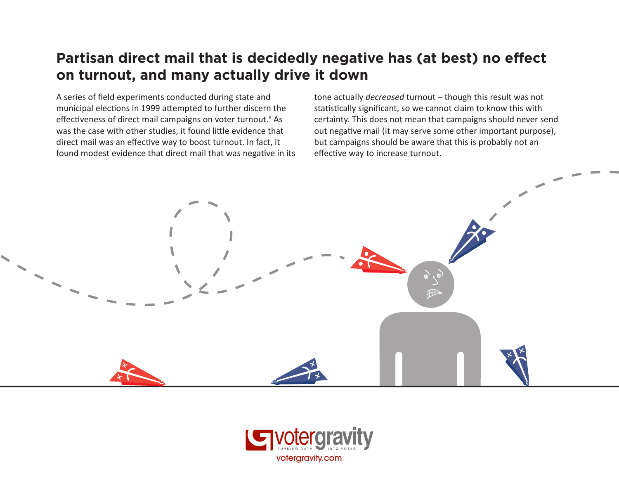#### **Partisan direct mail that is decidedly negative has (at best) no effect on turnout, and many actually drive it down**

A series of field experiments conducted during state and municipal elections in 1999 attempted to further discern the effectiveness of direct mail campaigns on voter turnout.<sup>8</sup> As was the case with other studies, it found little evidence that direct mail was an effective way to boost turnout. In fact, it found modest evidence that direct mail that was negative in its tone actually *decreased* turnout – though this result was not statistically significant, so we cannot claim to know this with certainty. This does not mean that campaigns should never send out negative mail (it may serve some other important purpose), but campaigns should be aware that this is probably not an effective way to increase turnout.



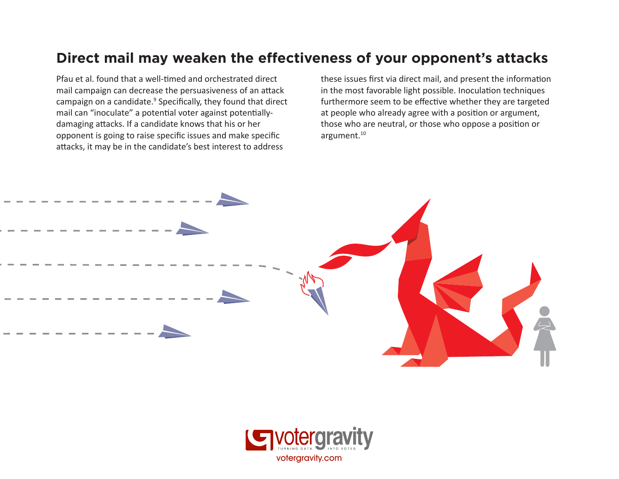#### **Direct mail may weaken the effectiveness of your opponent's attacks**

Pfau et al. found that a well-timed and orchestrated direct mail campaign can decrease the persuasiveness of an attack campaign on a candidate.<sup>9</sup> Specifically, they found that direct mail can "inoculate" a potential voter against potentiallydamaging attacks. If a candidate knows that his or her opponent is going to raise specific issues and make specific attacks, it may be in the candidate's best interest to address

these issues first via direct mail, and present the information in the most favorable light possible. Inoculation techniques furthermore seem to be effective whether they are targeted at people who already agree with a position or argument, those who are neutral, or those who oppose a position or argument.<sup>10</sup>



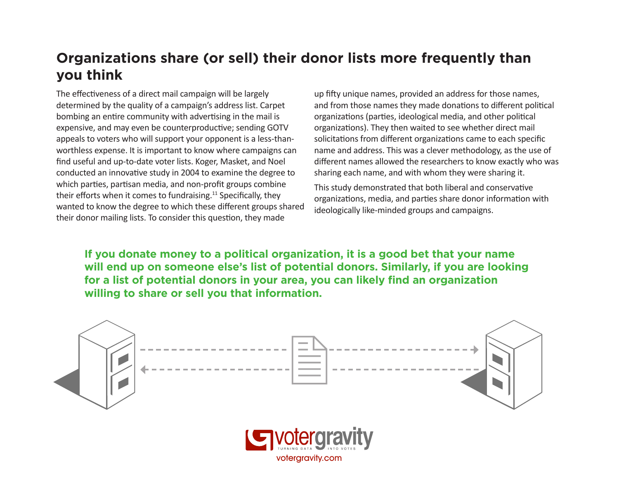#### **Organizations share (or sell) their donor lists more frequently than you think**

The effectiveness of a direct mail campaign will be largely determined by the quality of a campaign's address list. Carpet bombing an entire community with advertising in the mail is expensive, and may even be counterproductive; sending GOTV appeals to voters who will support your opponent is a less-thanworthless expense. It is important to know where campaigns can find useful and up-to-date voter lists. Koger, Masket, and Noel conducted an innovative study in 2004 to examine the degree to which parties, partisan media, and non-profit groups combine their efforts when it comes to fundraising.<sup>11</sup> Specifically, they wanted to know the degree to which these different groups shared their donor mailing lists. To consider this question, they made

up fifty unique names, provided an address for those names, and from those names they made donations to different political organizations (parties, ideological media, and other political organizations). They then waited to see whether direct mail solicitations from different organizations came to each specific name and address. This was a clever methodology, as the use of different names allowed the researchers to know exactly who was sharing each name, and with whom they were sharing it.

This study demonstrated that both liberal and conservative organizations, media, and parties share donor information with ideologically like-minded groups and campaigns.

**If you donate money to a political organization, it is a good bet that your name will end up on someone else's list of potential donors. Similarly, if you are looking for a list of potential donors in your area, you can likely find an organization willing to share or sell you that information.**



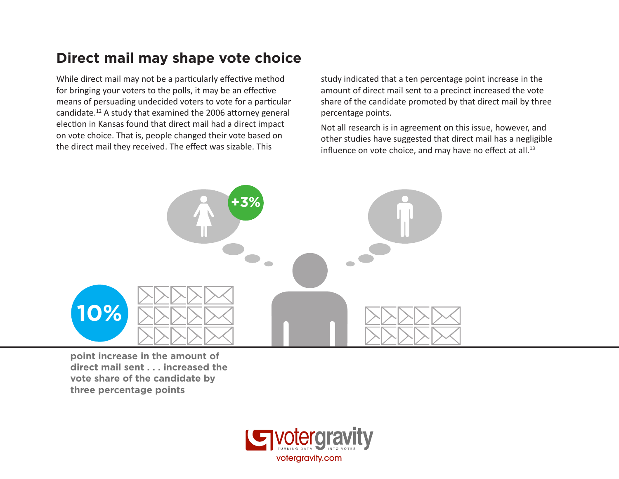#### **Direct mail may shape vote choice**

While direct mail may not be a particularly effective method for bringing your voters to the polls, it may be an effective means of persuading undecided voters to vote for a particular candidate.12 A study that examined the 2006 attorney general election in Kansas found that direct mail had a direct impact on vote choice. That is, people changed their vote based on the direct mail they received. The effect was sizable. This

study indicated that a ten percentage point increase in the amount of direct mail sent to a precinct increased the vote share of the candidate promoted by that direct mail by three percentage points.

Not all research is in agreement on this issue, however, and other studies have suggested that direct mail has a negligible influence on vote choice, and may have no effect at all.<sup>13</sup>



**point increase in the amount of direct mail sent . . . increased the vote share of the candidate by three percentage points**

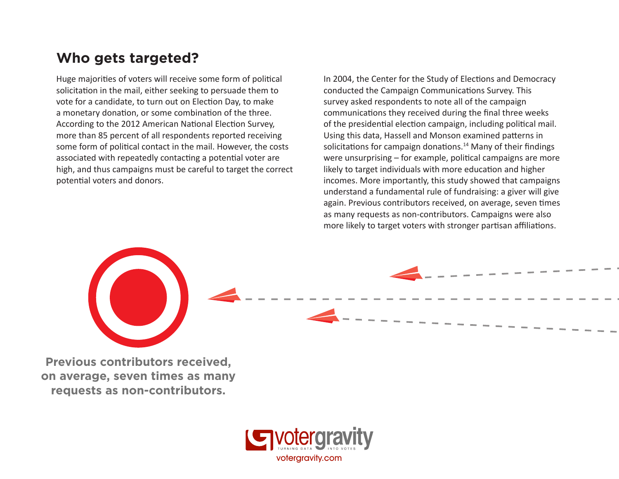#### **Who gets targeted?**

Huge majorities of voters will receive some form of political solicitation in the mail, either seeking to persuade them to vote for a candidate, to turn out on Election Day, to make a monetary donation, or some combination of the three. According to the 2012 American National Election Survey, more than 85 percent of all respondents reported receiving some form of political contact in the mail. However, the costs associated with repeatedly contacting a potential voter are high, and thus campaigns must be careful to target the correct potential voters and donors.

In 2004, the Center for the Study of Elections and Democracy conducted the Campaign Communications Survey. This survey asked respondents to note all of the campaign communications they received during the final three weeks of the presidential election campaign, including political mail. Using this data, Hassell and Monson examined patterns in solicitations for campaign donations.<sup>14</sup> Many of their findings were unsurprising – for example, political campaigns are more likely to target individuals with more education and higher incomes. More importantly, this study showed that campaigns understand a fundamental rule of fundraising: a giver will give again. Previous contributors received, on average, seven times as many requests as non-contributors. Campaigns were also more likely to target voters with stronger partisan affiliations.

**Previous contributors received, on average, seven times as many requests as non-contributors.**

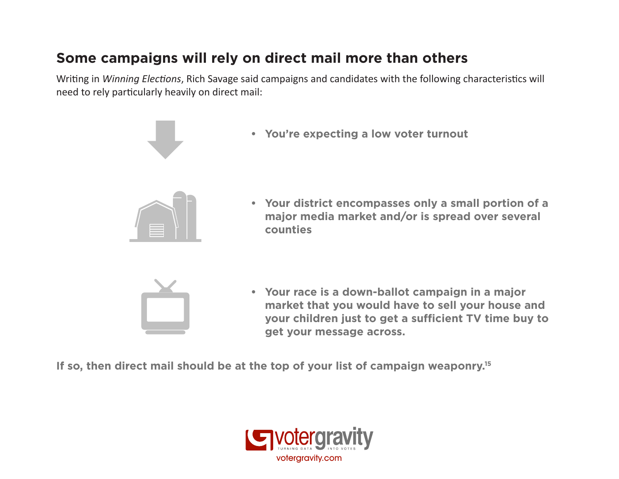#### **Some campaigns will rely on direct mail more than others**

Writing in *Winning Elections*, Rich Savage said campaigns and candidates with the following characteristics will need to rely particularly heavily on direct mail:





**market that you would have to sell your house and your children just to get a sufficient TV time buy to get your message across.**

**If so, then direct mail should be at the top of your list of campaign weaponry.15**

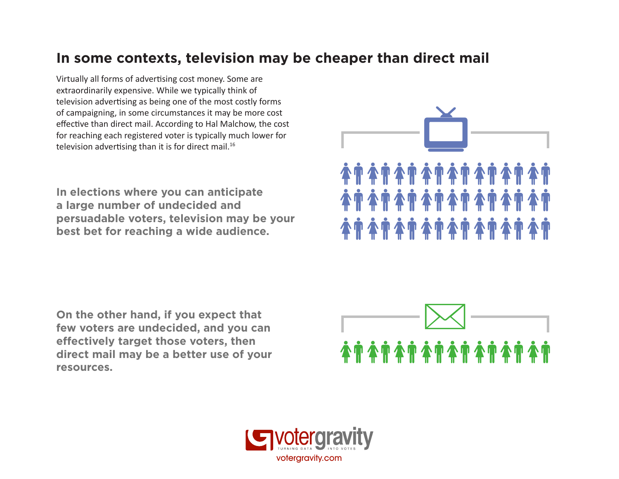#### **In some contexts, television may be cheaper than direct mail**

Virtually all forms of advertising cost money. Some are extraordinarily expensive. While we typically think of television advertising as being one of the most costly forms of campaigning, in some circumstances it may be more cost effective than direct mail. According to Hal Malchow, the cost for reaching each registered voter is typically much lower for television advertising than it is for direct mail.<sup>16</sup>

**In elections where you can anticipate a large number of undecided and persuadable voters, television may be your best bet for reaching a wide audience.** 



**On the other hand, if you expect that few voters are undecided, and you can effectively target those voters, then direct mail may be a better use of your resources.**



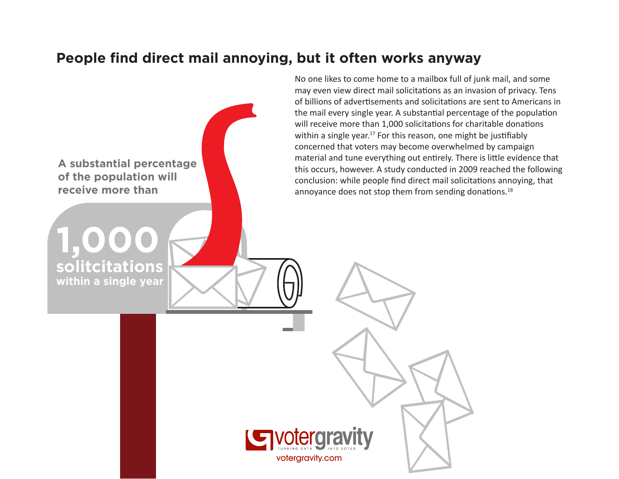#### **People find direct mail annoying, but it often works anyway**



votergravity.com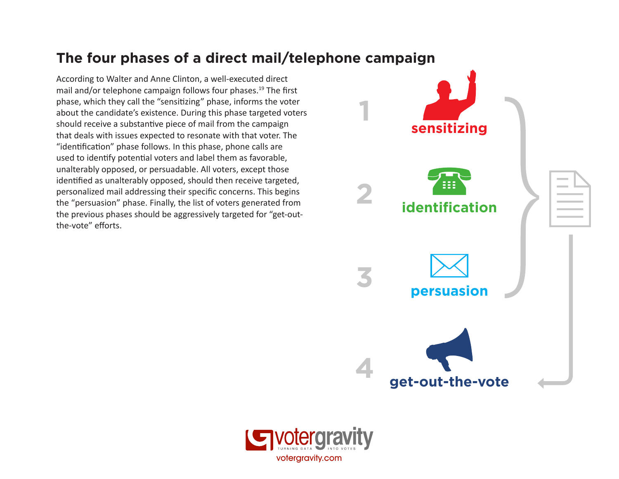#### **The four phases of a direct mail/telephone campaign**

According to Walter and Anne Clinton, a well-executed direct mail and/or telephone campaign follows four phases.19 The first phase, which they call the "sensitizing" phase, informs the voter about the candidate's existence. During this phase targeted voters should receive a substantive piece of mail from the campaign that deals with issues expected to resonate with that voter. The "identification" phase follows. In this phase, phone calls are used to identify potential voters and label them as favorable, unalterably opposed, or persuadable. All voters, except those identified as unalterably opposed, should then receive targeted, personalized mail addressing their specific concerns. This begins the "persuasion" phase. Finally, the list of voters generated from the previous phases should be aggressively targeted for "get-outthe-vote" efforts.



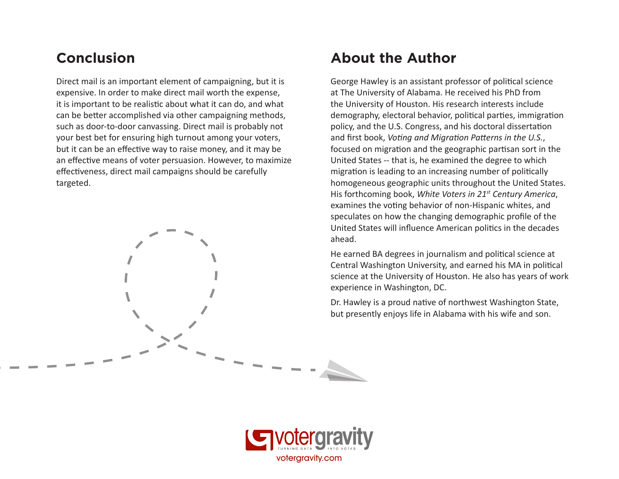Direct mail is an important element of campaigning, but it is expensive. In order to make direct mail worth the expense, it is important to be realistic about what it can do, and what can be better accomplished via other campaigning methods, such as door-to-door canvassing. Direct mail is probably not your best bet for ensuring high turnout among your voters, but it can be an effective way to raise money, and it may be an effective means of voter persuasion. However, to maximize effectiveness, direct mail campaigns should be carefully targeted.

#### **Conclusion About the Author**

George Hawley is an assistant professor of political science at The University of Alabama. He received his PhD from the University of Houston. His research interests include demography, electoral behavior, political parties, immigration policy, and the U.S. Congress, and his doctoral dissertation and first book, *Voting and Migration Patterns in the U.S.*, focused on migration and the geographic partisan sort in the United States -- that is, he examined the degree to which migration is leading to an increasing number of politically homogeneous geographic units throughout the United States. His forthcoming book, *White Voters in 21st Century America*, examines the voting behavior of non-Hispanic whites, and speculates on how the changing demographic profile of the United States will influence American politics in the decades ahead.

He earned BA degrees in journalism and political science at Central Washington University, and earned his MA in political science at the University of Houston. He also has years of work experience in Washington, DC.

Dr. Hawley is a proud native of northwest Washington State, but presently enjoys life in Alabama with his wife and son.

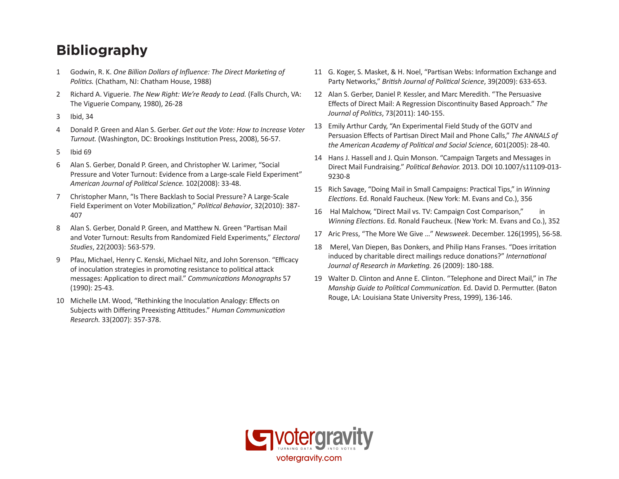### **Bibliography**

- 1 Godwin, R. K. *One Billion Dollars of Influence: The Direct Marketing of Politics.* (Chatham, NJ: Chatham House, 1988)
- 2 Richard A. Viguerie. *The New Right: We're Ready to Lead.* (Falls Church, VA: The Viguerie Company, 1980), 26-28
- 3 Ibid, 34
- 4 Donald P. Green and Alan S. Gerber. *Get out the Vote: How to Increase Voter Turnout.* (Washington, DC: Brookings Institution Press, 2008), 56-57.
- 5 Ibid 69
- 6 Alan S. Gerber, Donald P. Green, and Christopher W. Larimer, "Social Pressure and Voter Turnout: Evidence from a Large-scale Field Experiment" *American Journal of Political Science.* 102(2008): 33-48.
- 7 Christopher Mann, "Is There Backlash to Social Pressure? A Large-Scale Field Experiment on Voter Mobilization," *Political Behavior*, 32(2010): 387- 407
- 8 Alan S. Gerber, Donald P. Green, and Matthew N. Green "Partisan Mail and Voter Turnout: Results from Randomized Field Experiments," *Electoral Studies*, 22(2003): 563-579.
- 9 Pfau, Michael, Henry C. Kenski, Michael Nitz, and John Sorenson. "Efficacy of inoculation strategies in promoting resistance to political attack messages: Application to direct mail." *Communications Monographs* 57 (1990): 25-43.
- 10 Michelle LM. Wood, "Rethinking the Inoculation Analogy: Effects on Subjects with Differing Preexisting Attitudes." *Human Communication Research.* 33(2007): 357-378.
- 11 G. Koger, S. Masket, & H. Noel, "Partisan Webs: Information Exchange and Party Networks," *British Journal of Political Science*, 39(2009): 633-653.
- 12 Alan S. Gerber, Daniel P. Kessler, and Marc Meredith. "The Persuasive Effects of Direct Mail: A Regression Discontinuity Based Approach." *The Journal of Politics*, 73(2011): 140-155.
- 13 Emily Arthur Cardy, "An Experimental Field Study of the GOTV and Persuasion Effects of Partisan Direct Mail and Phone Calls," *The ANNALS of the American Academy of Political and Social Science*, 601(2005): 28-40.
- 14 Hans J. Hassell and J. Quin Monson. "Campaign Targets and Messages in Direct Mail Fundraising." *Political Behavior.* 2013. DOI 10.1007/s11109-013- 9230-8
- 15 Rich Savage, "Doing Mail in Small Campaigns: Practical Tips," in *Winning Elections*. Ed. Ronald Faucheux. (New York: M. Evans and Co.), 356
- 16 Hal Malchow, "Direct Mail vs. TV: Campaign Cost Comparison," in *Winning Elections*. Ed. Ronald Faucheux. (New York: M. Evans and Co.), 352
- 17 Aric Press, "The More We Give …" *Newsweek*. December. 126(1995), 56-58.
- 18 Merel, Van Diepen, Bas Donkers, and Philip Hans Franses. "Does irritation induced by charitable direct mailings reduce donations?" *International Journal of Research in Marketing.* 26 (2009): 180-188.
- 19 Walter D. Clinton and Anne E. Clinton. "Telephone and Direct Mail," in *The Manship Guide to Political Communication.* Ed. David D. Permutter. (Baton Rouge, LA: Louisiana State University Press, 1999), 136-146.